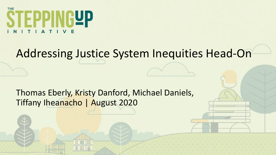

#### Addressing Justice System Inequities Head-On

Thomas Eberly, Kristy Danford, Michael Daniels, Tiffany Iheanacho | August 2020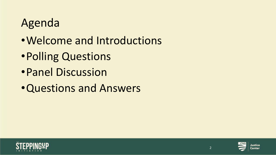### Agenda

- •Welcome and Introductions
- •Polling Questions
- •Panel Discussion
- •Questions and Answers





2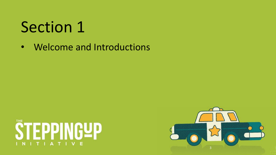• Welcome and Introductions



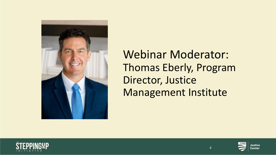

Webinar Moderator: Thomas Eberly, Program Director, Justice Management Institute





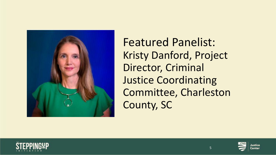

Featured Panelist: Kristy Danford, Project Director, Criminal Justice Coordinating Committee, Charleston County, SC





5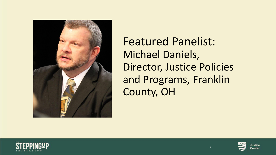

Featured Panelist: Michael Daniels, Director, Justice Policies and Programs, Franklin County, OH



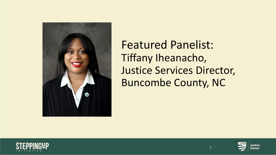

Featured Panelist: Tiffany Iheanacho, Justice Services Director, Buncombe County, NC





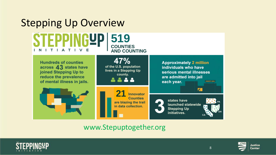

#### www.Stepuptogether.org





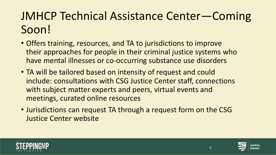### JMHCP Technical Assistance Center—Coming Soon!

- Offers training, resources, and TA to jurisdictions to improve their approaches for people in their criminal justice systems who have mental illnesses or co-occurring substance use disorders
- TA will be tailored based on intensity of request and could include: consultations with CSG Justice Center staff, connections with subject matter experts and peers, virtual events and meetings, curated online resources
- Jurisdictions can request TA through a request form on the CSG Justice Center website



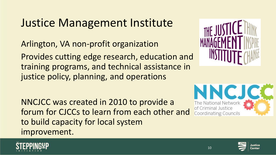#### Justice Management Institute

Arlington, VA non-profit organization

Provides cutting edge research, education and training programs, and technical assistance in justice policy, planning, and operations

NNCJCC was created in 2010 to provide a forum for CJCCs to learn from each other and to build capacity for local system improvement.







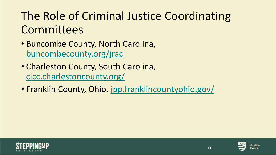### The Role of Criminal Justice Coordinating **Committees**

- Buncombe County, North Carolina, [buncombecounty.org/jrac](https://linkprotect.cudasvc.com/url?a=https%3a%2f%2f%2f%2fbuncombecounty.org%2fjrac&c=E,1,hHzzw7bQ6bNtR4X4AF0x6t9DOWbh3bZ-1t2uE6IR3hGkj5MjD4wM4_TI8thUQxcdl0MBwbFHHHuUfr5DX8yQMiVNbsKn7jRG8ZIUtMQfJPzohg,,&typo=1)
- Charleston County, South Carolina, [cjcc.charlestoncounty.org/](https://cjcc.charlestoncounty.org/)
- Franklin County, Ohio, [jpp.franklincountyohio.gov/](https://jpp.franklincountyohio.gov/)



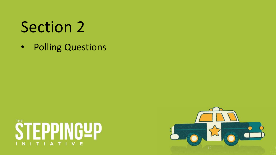• Polling Questions



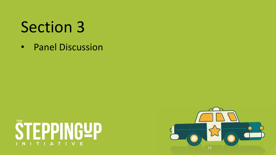• Panel Discussion



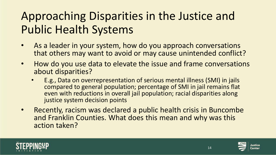### Approaching Disparities in the Justice and Public Health Systems

- As a leader in your system, how do you approach conversations that others may want to avoid or may cause unintended conflict?
- How do you use data to elevate the issue and frame conversations about disparities?
	- E.g., Data on overrepresentation of serious mental illness (SMI) in jails compared to general population; percentage of SMI in jail remains flat even with reductions in overall jail population; racial disparities along justice system decision points
- Recently, racism was declared a public health crisis in Buncombe and Franklin Counties. What does this mean and why was this action taken?

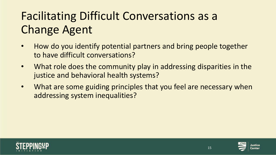# Facilitating Difficult Conversations as a Change Agent

- How do you identify potential partners and bring people together to have difficult conversations?
- What role does the community play in addressing disparities in the justice and behavioral health systems?
- What are some guiding principles that you feel are necessary when addressing system inequalities?

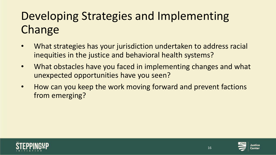# Developing Strategies and Implementing Change

- What strategies has your jurisdiction undertaken to address racial inequities in the justice and behavioral health systems?
- What obstacles have you faced in implementing changes and what unexpected opportunities have you seen?
- How can you keep the work moving forward and prevent factions from emerging?





16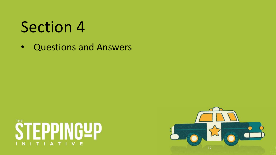• Questions and Answers